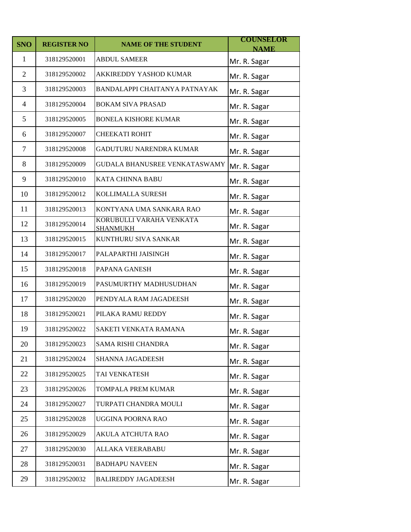| <b>SNO</b>     | <b>REGISTER NO</b> | <b>NAME OF THE STUDENT</b>                  | <b>COUNSELOR</b>            |
|----------------|--------------------|---------------------------------------------|-----------------------------|
| 1              | 318129520001       | <b>ABDUL SAMEER</b>                         | <b>NAME</b><br>Mr. R. Sagar |
| $\overline{2}$ | 318129520002       | AKKIREDDY YASHOD KUMAR                      | Mr. R. Sagar                |
| 3              | 318129520003       | BANDALAPPI CHAITANYA PATNAYAK               | Mr. R. Sagar                |
| $\overline{4}$ | 318129520004       | <b>BOKAM SIVA PRASAD</b>                    | Mr. R. Sagar                |
| 5              | 318129520005       | <b>BONELA KISHORE KUMAR</b>                 | Mr. R. Sagar                |
| 6              | 318129520007       | <b>CHEEKATI ROHIT</b>                       | Mr. R. Sagar                |
| $\overline{7}$ | 318129520008       | GADUTURU NARENDRA KUMAR                     | Mr. R. Sagar                |
| 8              | 318129520009       | GUDALA BHANUSREE VENKATASWAMY               | Mr. R. Sagar                |
| 9              | 318129520010       | KATA CHINNA BABU                            | Mr. R. Sagar                |
| 10             | 318129520012       | KOLLIMALLA SURESH                           | Mr. R. Sagar                |
| 11             | 318129520013       | KONTYANA UMA SANKARA RAO                    | Mr. R. Sagar                |
| 12             | 318129520014       | KORUBULLI VARAHA VENKATA<br><b>SHANMUKH</b> | Mr. R. Sagar                |
| 13             | 318129520015       | KUNTHURU SIVA SANKAR                        | Mr. R. Sagar                |
| 14             | 318129520017       | PALAPARTHI JAISINGH                         | Mr. R. Sagar                |
| 15             | 318129520018       | PAPANA GANESH                               | Mr. R. Sagar                |
| 16             | 318129520019       | PASUMURTHY MADHUSUDHAN                      | Mr. R. Sagar                |
| 17             | 318129520020       | PENDYALA RAM JAGADEESH                      | Mr. R. Sagar                |
| 18             | 318129520021       | PILAKA RAMU REDDY                           | Mr. R. Sagar                |
| 19             | 318129520022       | SAKETI VENKATA RAMANA                       | Mr. R. Sagar                |
| 20             | 318129520023       | SAMA RISHI CHANDRA                          | Mr. R. Sagar                |
| 21             | 318129520024       | SHANNA JAGADEESH                            | Mr. R. Sagar                |
| 22             | 318129520025       | TAI VENKATESH                               | Mr. R. Sagar                |
| 23             | 318129520026       | TOMPALA PREM KUMAR                          | Mr. R. Sagar                |
| 24             | 318129520027       | TURPATI CHANDRA MOULI                       | Mr. R. Sagar                |
| 25             | 318129520028       | UGGINA POORNA RAO                           | Mr. R. Sagar                |
| 26             | 318129520029       | AKULA ATCHUTA RAO                           | Mr. R. Sagar                |
| 27             | 318129520030       | ALLAKA VEERABABU                            | Mr. R. Sagar                |
| 28             | 318129520031       | <b>BADHAPU NAVEEN</b>                       | Mr. R. Sagar                |
| 29             | 318129520032       | <b>BALIREDDY JAGADEESH</b>                  | Mr. R. Sagar                |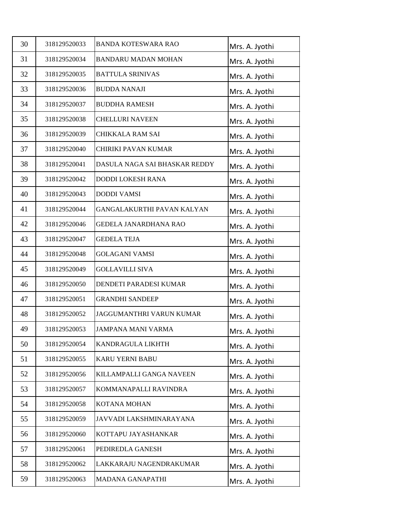| 30 | 318129520033 | <b>BANDA KOTESWARA RAO</b>    | Mrs. A. Jyothi |
|----|--------------|-------------------------------|----------------|
| 31 | 318129520034 | <b>BANDARU MADAN MOHAN</b>    | Mrs. A. Jyothi |
| 32 | 318129520035 | <b>BATTULA SRINIVAS</b>       | Mrs. A. Jyothi |
| 33 | 318129520036 | <b>BUDDA NANAJI</b>           | Mrs. A. Jyothi |
| 34 | 318129520037 | <b>BUDDHA RAMESH</b>          | Mrs. A. Jyothi |
| 35 | 318129520038 | <b>CHELLURI NAVEEN</b>        | Mrs. A. Jyothi |
| 36 | 318129520039 | CHIKKALA RAM SAI              | Mrs. A. Jyothi |
| 37 | 318129520040 | CHIRIKI PAVAN KUMAR           | Mrs. A. Jyothi |
| 38 | 318129520041 | DASULA NAGA SAI BHASKAR REDDY | Mrs. A. Jyothi |
| 39 | 318129520042 | <b>DODDI LOKESH RANA</b>      | Mrs. A. Jyothi |
| 40 | 318129520043 | <b>DODDI VAMSI</b>            | Mrs. A. Jyothi |
| 41 | 318129520044 | GANGALAKURTHI PAVAN KALYAN    | Mrs. A. Jyothi |
| 42 | 318129520046 | <b>GEDELA JANARDHANA RAO</b>  | Mrs. A. Jyothi |
| 43 | 318129520047 | <b>GEDELA TEJA</b>            | Mrs. A. Jyothi |
| 44 | 318129520048 | <b>GOLAGANI VAMSI</b>         | Mrs. A. Jyothi |
| 45 | 318129520049 | <b>GOLLAVILLI SIVA</b>        | Mrs. A. Jyothi |
| 46 | 318129520050 | DENDETI PARADESI KUMAR        | Mrs. A. Jyothi |
| 47 | 318129520051 | <b>GRANDHI SANDEEP</b>        | Mrs. A. Jyothi |
| 48 | 318129520052 | JAGGUMANTHRI VARUN KUMAR      | Mrs. A. Jyothi |
| 49 | 318129520053 | <b>JAMPANA MANI VARMA</b>     | Mrs. A. Jyothi |
| 50 | 318129520054 | KANDRAGULA LIKHTH             | Mrs. A. Jyothi |
| 51 | 318129520055 | KARU YERNI BABU               | Mrs. A. Jyothi |
| 52 | 318129520056 | KILLAMPALLI GANGA NAVEEN      | Mrs. A. Jyothi |
| 53 | 318129520057 | KOMMANAPALLI RAVINDRA         | Mrs. A. Jyothi |
| 54 | 318129520058 | KOTANA MOHAN                  | Mrs. A. Jyothi |
| 55 | 318129520059 | JAVVADI LAKSHMINARAYANA       | Mrs. A. Jyothi |
| 56 | 318129520060 | KOTTAPU JAYASHANKAR           | Mrs. A. Jyothi |
| 57 | 318129520061 | PEDIREDLA GANESH              | Mrs. A. Jyothi |
| 58 | 318129520062 | LAKKARAJU NAGENDRAKUMAR       | Mrs. A. Jyothi |
| 59 | 318129520063 | MADANA GANAPATHI              | Mrs. A. Jyothi |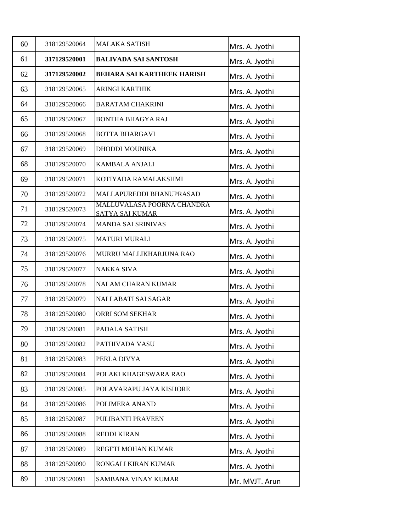| 60 | 318129520064 | <b>MALAKA SATISH</b>                                 | Mrs. A. Jyothi |
|----|--------------|------------------------------------------------------|----------------|
| 61 | 317129520001 | <b>BALIVADA SAI SANTOSH</b>                          | Mrs. A. Jyothi |
| 62 | 317129520002 | <b>BEHARA SAI KARTHEEK HARISH</b>                    | Mrs. A. Jyothi |
| 63 | 318129520065 | <b>ARINGI KARTHIK</b>                                | Mrs. A. Jyothi |
| 64 | 318129520066 | <b>BARATAM CHAKRINI</b>                              | Mrs. A. Jyothi |
| 65 | 318129520067 | <b>BONTHA BHAGYA RAJ</b>                             | Mrs. A. Jyothi |
| 66 | 318129520068 | <b>BOTTA BHARGAVI</b>                                | Mrs. A. Jyothi |
| 67 | 318129520069 | DHODDI MOUNIKA                                       | Mrs. A. Jyothi |
| 68 | 318129520070 | <b>KAMBALA ANJALI</b>                                | Mrs. A. Jyothi |
| 69 | 318129520071 | KOTIYADA RAMALAKSHMI                                 | Mrs. A. Jyothi |
| 70 | 318129520072 | MALLAPUREDDI BHANUPRASAD                             | Mrs. A. Jyothi |
| 71 | 318129520073 | MALLUVALASA POORNA CHANDRA<br><b>SATYA SAI KUMAR</b> | Mrs. A. Jyothi |
| 72 | 318129520074 | <b>MANDA SAI SRINIVAS</b>                            | Mrs. A. Jyothi |
| 73 | 318129520075 | <b>MATURI MURALI</b>                                 | Mrs. A. Jyothi |
| 74 | 318129520076 | MURRU MALLIKHARJUNA RAO                              | Mrs. A. Jyothi |
| 75 | 318129520077 | <b>NAKKA SIVA</b>                                    | Mrs. A. Jyothi |
| 76 | 318129520078 | <b>NALAM CHARAN KUMAR</b>                            | Mrs. A. Jyothi |
| 77 | 318129520079 | NALLABATI SAI SAGAR                                  | Mrs. A. Jyothi |
| 78 | 318129520080 | ORRI SOM SEKHAR                                      | Mrs. A. Jyothi |
| 79 | 318129520081 | PADALA SATISH                                        | Mrs. A. Jyothi |
| 80 | 318129520082 | PATHIVADA VASU                                       | Mrs. A. Jyothi |
| 81 | 318129520083 | PERLA DIVYA                                          | Mrs. A. Jyothi |
| 82 | 318129520084 | POLAKI KHAGESWARA RAO                                | Mrs. A. Jyothi |
| 83 | 318129520085 | POLAVARAPU JAYA KISHORE                              | Mrs. A. Jyothi |
| 84 | 318129520086 | POLIMERA ANAND                                       | Mrs. A. Jyothi |
| 85 | 318129520087 | PULIBANTI PRAVEEN                                    | Mrs. A. Jyothi |
| 86 | 318129520088 | <b>REDDI KIRAN</b>                                   | Mrs. A. Jyothi |
| 87 | 318129520089 | REGETI MOHAN KUMAR                                   | Mrs. A. Jyothi |
| 88 | 318129520090 | RONGALI KIRAN KUMAR                                  | Mrs. A. Jyothi |
| 89 | 318129520091 | SAMBANA VINAY KUMAR                                  | Mr. MVJT. Arun |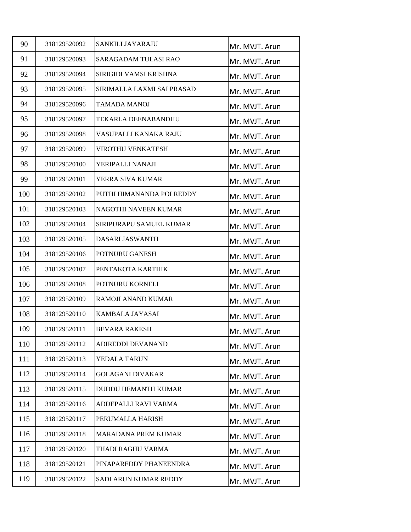| 90  | 318129520092 | SANKILI JAYARAJU            | Mr. MVJT. Arun |
|-----|--------------|-----------------------------|----------------|
| 91  | 318129520093 | <b>SARAGADAM TULASI RAO</b> | Mr. MVJT. Arun |
| 92  | 318129520094 | SIRIGIDI VAMSI KRISHNA      | Mr. MVJT. Arun |
| 93  | 318129520095 | SIRIMALLA LAXMI SAI PRASAD  | Mr. MVJT. Arun |
| 94  | 318129520096 | <b>TAMADA MANOJ</b>         | Mr. MVJT. Arun |
| 95  | 318129520097 | <b>TEKARLA DEENABANDHU</b>  | Mr. MVJT. Arun |
| 96  | 318129520098 | VASUPALLI KANAKA RAJU       | Mr. MVJT. Arun |
| 97  | 318129520099 | VIROTHU VENKATESH           | Mr. MVJT. Arun |
| 98  | 318129520100 | YERIPALLI NANAJI            | Mr. MVJT. Arun |
| 99  | 318129520101 | YERRA SIVA KUMAR            | Mr. MVJT. Arun |
| 100 | 318129520102 | PUTHI HIMANANDA POLREDDY    | Mr. MVJT. Arun |
| 101 | 318129520103 | NAGOTHI NAVEEN KUMAR        | Mr. MVJT. Arun |
| 102 | 318129520104 | SIRIPURAPU SAMUEL KUMAR     | Mr. MVJT. Arun |
| 103 | 318129520105 | <b>DASARI JASWANTH</b>      | Mr. MVJT. Arun |
| 104 | 318129520106 | POTNURU GANESH              | Mr. MVJT. Arun |
| 105 | 318129520107 | PENTAKOTA KARTHIK           | Mr. MVJT. Arun |
| 106 | 318129520108 | POTNURU KORNELI             | Mr. MVJT. Arun |
| 107 | 318129520109 | RAMOJI ANAND KUMAR          | Mr. MVJT. Arun |
| 108 | 318129520110 | KAMBALA JAYASAI             | Mr. MVJT. Arun |
| 109 | 318129520111 | <b>BEVARA RAKESH</b>        | Mr. MVJT. Arun |
| 110 | 318129520112 | ADIREDDI DEVANAND           | Mr. MVJT. Arun |
| 111 | 318129520113 | YEDALA TARUN                | Mr. MVJT. Arun |
| 112 | 318129520114 | <b>GOLAGANI DIVAKAR</b>     | Mr. MVJT. Arun |
| 113 | 318129520115 | <b>DUDDU HEMANTH KUMAR</b>  | Mr. MVJT. Arun |
| 114 | 318129520116 | ADDEPALLI RAVI VARMA        | Mr. MVJT. Arun |
| 115 | 318129520117 | PERUMALLA HARISH            | Mr. MVJT. Arun |
| 116 | 318129520118 | <b>MARADANA PREM KUMAR</b>  | Mr. MVJT. Arun |
| 117 | 318129520120 | THADI RAGHU VARMA           | Mr. MVJT. Arun |
| 118 | 318129520121 | PINAPAREDDY PHANEENDRA      | Mr. MVJT. Arun |
| 119 | 318129520122 | SADI ARUN KUMAR REDDY       | Mr. MVJT. Arun |